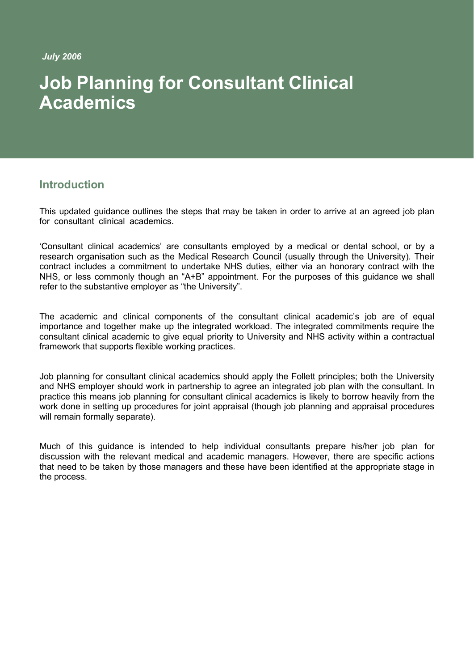*July 2006*

# **Job Planning for Consultant Clinical Academics**

# **Introduction**

This updated guidance outlines the steps that may be taken in order to arrive at an agreed job plan for consultant clinical academics.

'Consultant clinical academics' are consultants employed by a medical or dental school, or by a research organisation such as the Medical Research Council (usually through the University). Their contract includes a commitment to undertake NHS duties, either via an honorary contract with the NHS, or less commonly though an "A+B" appointment. For the purposes of this guidance we shall refer to the substantive employer as "the University".

The academic and clinical components of the consultant clinical academic's job are of equal importance and together make up the integrated workload. The integrated commitments require the consultant clinical academic to give equal priority to University and NHS activity within a contractual framework that supports flexible working practices.

Job planning for consultant clinical academics should apply the Follett principles; both the University and NHS employer should work in partnership to agree an integrated job plan with the consultant. In practice this means job planning for consultant clinical academics is likely to borrow heavily from the work done in setting up procedures for joint appraisal (though job planning and appraisal procedures will remain formally separate).

Much of this guidance is intended to help individual consultants prepare his/her job plan for discussion with the relevant medical and academic managers. However, there are specific actions that need to be taken by those managers and these have been identified at the appropriate stage in the process.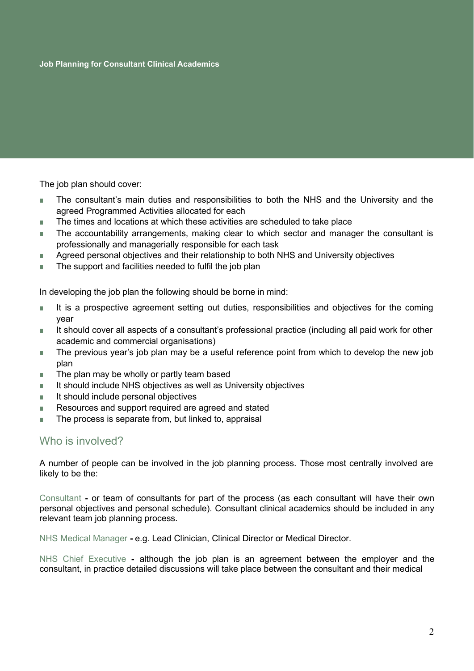The job plan should cover:

- The consultant's main duties and responsibilities to both the NHS and the University and the agreed Programmed Activities allocated for each
- The times and locations at which these activities are scheduled to take place
- The accountability arrangements, making clear to which sector and manager the consultant is professionally and managerially responsible for each task
- Agreed personal objectives and their relationship to both NHS and University objectives
- The support and facilities needed to fulfil the job plan

In developing the job plan the following should be borne in mind:

- It is a prospective agreement setting out duties, responsibilities and objectives for the coming year
- It should cover all aspects of a consultant's professional practice (including all paid work for other academic and commercial organisations)
- The previous year's job plan may be a useful reference point from which to develop the new job plan
- The plan may be wholly or partly team based
- It should include NHS objectives as well as University objectives
- It should include personal objectives
- Resources and support required are agreed and stated
- The process is separate from, but linked to, appraisal

## Who is involved?

A number of people can be involved in the job planning process. Those most centrally involved are likely to be the:

Consultant **-** or team of consultants for part of the process (as each consultant will have their own personal objectives and personal schedule). Consultant clinical academics should be included in any relevant team job planning process.

NHS Medical Manager **-** e.g. Lead Clinician, Clinical Director or Medical Director.

NHS Chief Executive **-** although the job plan is an agreement between the employer and the consultant, in practice detailed discussions will take place between the consultant and their medical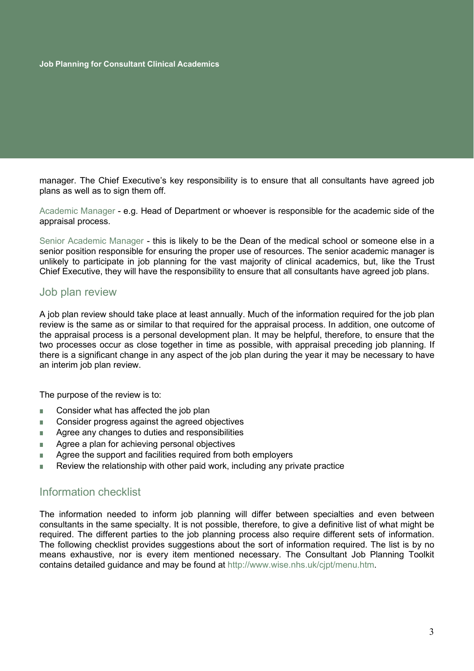manager. The Chief Executive's key responsibility is to ensure that all consultants have agreed job plans as well as to sign them off.

Academic Manager - e.g. Head of Department or whoever is responsible for the academic side of the appraisal process.

Senior Academic Manager - this is likely to be the Dean of the medical school or someone else in a senior position responsible for ensuring the proper use of resources. The senior academic manager is unlikely to participate in job planning for the vast majority of clinical academics, but, like the Trust Chief Executive, they will have the responsibility to ensure that all consultants have agreed job plans.

#### Job plan review

A job plan review should take place at least annually. Much of the information required for the job plan review is the same as or similar to that required for the appraisal process. In addition, one outcome of the appraisal process is a personal development plan. It may be helpful, therefore, to ensure that the two processes occur as close together in time as possible, with appraisal preceding job planning. If there is a significant change in any aspect of the job plan during the year it may be necessary to have an interim job plan review.

The purpose of the review is to:

- Consider what has affected the job plan
- Consider progress against the agreed objectives
- Agree any changes to duties and responsibilities
- Agree a plan for achieving personal objectives
- Agree the support and facilities required from both employers
- Review the relationship with other paid work, including any private practice

## Information checklist

The information needed to inform job planning will differ between specialties and even between consultants in the same specialty. It is not possible, therefore, to give a definitive list of what might be required. The different parties to the job planning process also require different sets of information. The following checklist provides suggestions about the sort of information required. The list is by no means exhaustive, nor is every item mentioned necessary. The Consultant Job Planning Toolkit contains detailed guidance and may be found at [http://www.wise.nhs.uk/cjpt/menu.htm.](http://www.wise.nhs.uk/cjpt/menu.htm)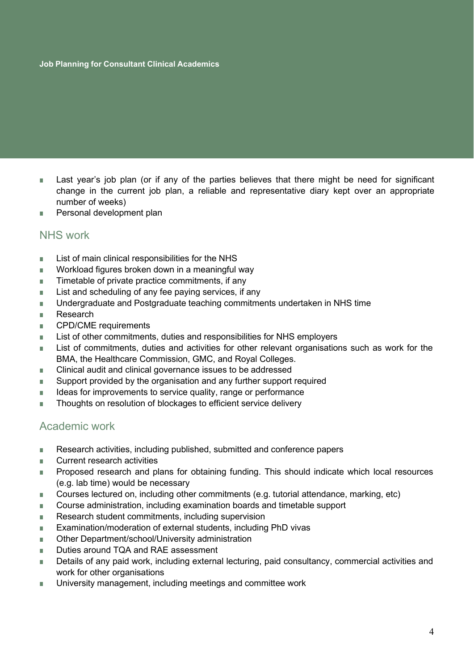#### **Job Planning for Consultant Clinical Academics**

- Last year's job plan (or if any of the parties believes that there might be need for significant change in the current job plan, a reliable and representative diary kept over an appropriate number of weeks)
- Personal development plan

#### NHS work

- List of main clinical responsibilities for the NHS
- Workload figures broken down in a meaningful way
- Timetable of private practice commitments, if any
- List and scheduling of any fee paying services, if any
- Undergraduate and Postgraduate teaching commitments undertaken in NHS time
- Research
- CPD/CME requirements
- List of other commitments, duties and responsibilities for NHS employers
- List of commitments, duties and activities for other relevant organisations such as work for the BMA, the Healthcare Commission, GMC, and Royal Colleges.
- Clinical audit and clinical governance issues to be addressed
- Support provided by the organisation and any further support required
- Ideas for improvements to service quality, range or performance
- Thoughts on resolution of blockages to efficient service delivery

#### Academic work

- Research activities, including published, submitted and conference papers
- Current research activities
- Proposed research and plans for obtaining funding. This should indicate which local resources (e.g. lab time) would be necessary
- Courses lectured on, including other commitments (e.g. tutorial attendance, marking, etc)
- Course administration, including examination boards and timetable support
- Research student commitments, including supervision
- Examination/moderation of external students, including PhD vivas
- Other Department/school/University administration
- Duties around TQA and RAE assessment
- Details of any paid work, including external lecturing, paid consultancy, commercial activities and work for other organisations
- University management, including meetings and committee work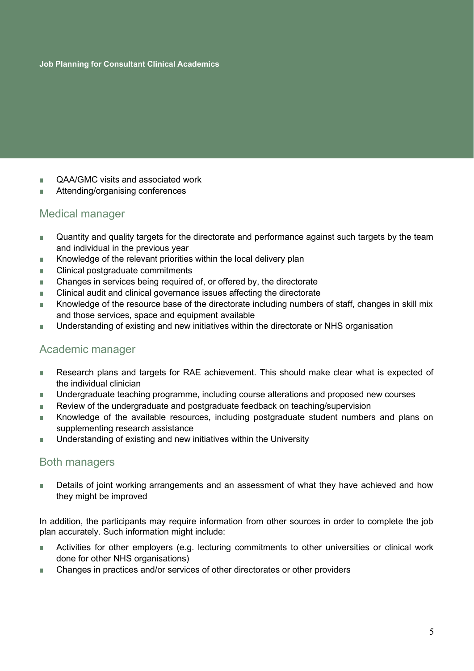- QAA/GMC visits and associated work
- Attending/organising conferences

# Medical manager

- Quantity and quality targets for the directorate and performance against such targets by the team and individual in the previous year
- Knowledge of the relevant priorities within the local delivery plan
- Clinical postgraduate commitments
- Changes in services being required of, or offered by, the directorate
- Clinical audit and clinical governance issues affecting the directorate
- Knowledge of the resource base of the directorate including numbers of staff, changes in skill mix and those services, space and equipment available
- Understanding of existing and new initiatives within the directorate or NHS organisation

## Academic manager

- Research plans and targets for RAE achievement. This should make clear what is expected of the individual clinician
- Undergraduate teaching programme, including course alterations and proposed new courses
- Review of the undergraduate and postgraduate feedback on teaching/supervision
- Knowledge of the available resources, including postgraduate student numbers and plans on supplementing research assistance
- Understanding of existing and new initiatives within the University

## Both managers

■ Details of joint working arrangements and an assessment of what they have achieved and how they might be improved

In addition, the participants may require information from other sources in order to complete the job plan accurately. Such information might include:

- Activities for other employers (e.g. lecturing commitments to other universities or clinical work done for other NHS organisations)
- Changes in practices and/or services of other directorates or other providers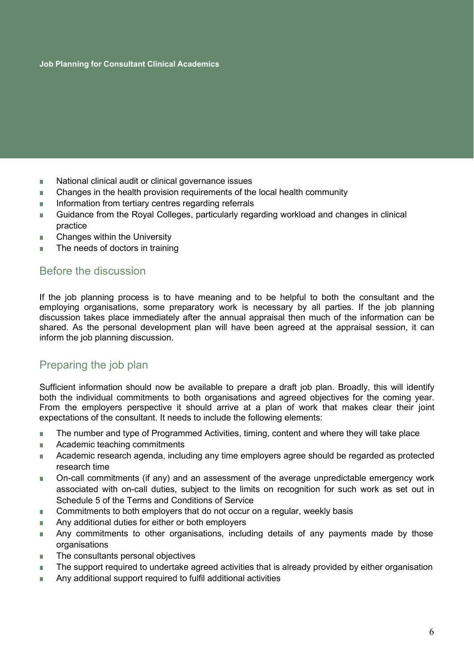- National clinical audit or clinical governance issues
- Changes in the health provision requirements of the local health community
- Information from tertiary centres regarding referrals
- Guidance from the Royal Colleges, particularly regarding workload and changes in clinical practice
- Changes within the University
- The needs of doctors in training

# Before the discussion

If the job planning process is to have meaning and to be helpful to both the consultant and the employing organisations, some preparatory work is necessary by all parties. If the job planning discussion takes place immediately after the annual appraisal then much of the information can be shared. As the personal development plan will have been agreed at the appraisal session, it can inform the job planning discussion.

# Preparing the job plan

Sufficient information should now be available to prepare a draft job plan. Broadly, this will identify both the individual commitments to both organisations and agreed objectives for the coming year. From the employers perspective it should arrive at a plan of work that makes clear their joint expectations of the consultant. It needs to include the following elements:

- The number and type of Programmed Activities, timing, content and where they will take place
- Academic teaching commitments
- Academic research agenda, including any time employers agree should be regarded as protected research time
- On-call commitments (if any) and an assessment of the average unpredictable emergency work associated with on-call duties, subject to the limits on recognition for such work as set out in Schedule 5 of the Terms and Conditions of Service
- Commitments to both employers that do not occur on a regular, weekly basis
- Any additional duties for either or both employers
- Any commitments to other organisations, including details of any payments made by those organisations
- The consultants personal objectives
- The support required to undertake agreed activities that is already provided by either organisation
- Any additional support required to fulfil additional activities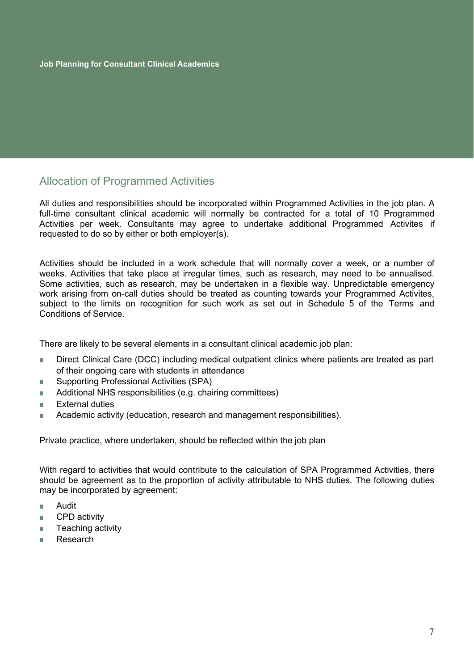# Allocation of Programmed Activities

All duties and responsibilities should be incorporated within Programmed Activities in the job plan. A full-time consultant clinical academic will normally be contracted for a total of 10 Programmed Activities per week. Consultants may agree to undertake additional Programmed Activites if requested to do so by either or both employer(s).

Activities should be included in a work schedule that will normally cover a week, or a number of weeks. Activities that take place at irregular times, such as research, may need to be annualised. Some activities, such as research, may be undertaken in a flexible way. Unpredictable emergency work arising from on-call duties should be treated as counting towards your Programmed Activites, subject to the limits on recognition for such work as set out in Schedule 5 of the Terms and Conditions of Service.

There are likely to be several elements in a consultant clinical academic job plan:

- Direct Clinical Care (DCC) including medical outpatient clinics where patients are treated as part of their ongoing care with students in attendance
- Supporting Professional Activities (SPA)
- Additional NHS responsibilities (e.g. chairing committees)
- External duties
- Academic activity (education, research and management responsibilities).

Private practice, where undertaken, should be reflected within the job plan

With regard to activities that would contribute to the calculation of SPA Programmed Activities, there should be agreement as to the proportion of activity attributable to NHS duties. The following duties may be incorporated by agreement:

- Audit
- CPD activity
- Teaching activity
- Research